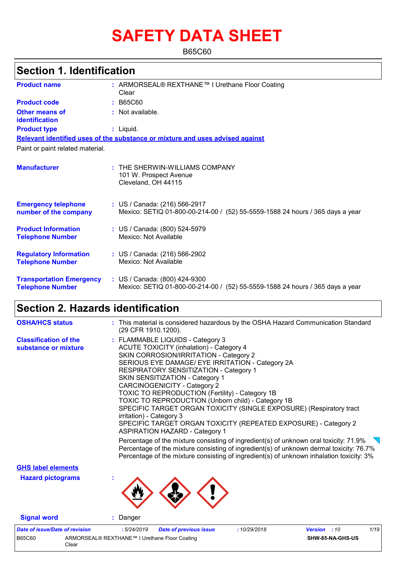# **SAFETY DATA SHEET**

B65C60

|                                                            | <b>Section 1. Identification</b>                                                                                  |  |  |  |  |
|------------------------------------------------------------|-------------------------------------------------------------------------------------------------------------------|--|--|--|--|
| <b>Product name</b>                                        | : ARMORSEAL® REXTHANE™ I Urethane Floor Coating<br>Clear                                                          |  |  |  |  |
| <b>Product code</b>                                        | : B65C60                                                                                                          |  |  |  |  |
| <b>Other means of</b><br><b>identification</b>             | : Not available.                                                                                                  |  |  |  |  |
| <b>Product type</b>                                        | : Liquid.                                                                                                         |  |  |  |  |
|                                                            | Relevant identified uses of the substance or mixture and uses advised against                                     |  |  |  |  |
| Paint or paint related material.                           |                                                                                                                   |  |  |  |  |
| <b>Manufacturer</b>                                        | $:$ THE SHERWIN-WILLIAMS COMPANY<br>101 W. Prospect Avenue<br>Cleveland, OH 44115                                 |  |  |  |  |
| <b>Emergency telephone</b><br>number of the company        | : US / Canada: (216) 566-2917<br>Mexico: SETIQ 01-800-00-214-00 / (52) 55-5559-1588 24 hours / 365 days a year    |  |  |  |  |
| <b>Product Information</b><br><b>Telephone Number</b>      | : US / Canada: (800) 524-5979<br>Mexico: Not Available                                                            |  |  |  |  |
| <b>Regulatory Information</b><br><b>Telephone Number</b>   | : US / Canada: (216) 566-2902<br>Mexico: Not Available                                                            |  |  |  |  |
| <b>Transportation Emergency</b><br><b>Telephone Number</b> | : US / Canada: (800) 424-9300<br>Mexico: SETIQ 01-800-00-214-00 /<br>(52) 55-5559-1588 24 hours / 365 days a year |  |  |  |  |

## **Section 2. Hazards identification**

Clear

| <b>OSHA/HCS status</b>                               | : This material is considered hazardous by the OSHA Hazard Communication Standard<br>(29 CFR 1910.1200).                                                                                                                                                                                                                                                                                                                                                                                                                                                                                                                                                                                                                                                                                                                                                                                                         |
|------------------------------------------------------|------------------------------------------------------------------------------------------------------------------------------------------------------------------------------------------------------------------------------------------------------------------------------------------------------------------------------------------------------------------------------------------------------------------------------------------------------------------------------------------------------------------------------------------------------------------------------------------------------------------------------------------------------------------------------------------------------------------------------------------------------------------------------------------------------------------------------------------------------------------------------------------------------------------|
| <b>Classification of the</b><br>substance or mixture | : FLAMMABLE LIQUIDS - Category 3<br><b>ACUTE TOXICITY (inhalation) - Category 4</b><br>SKIN CORROSION/IRRITATION - Category 2<br>SERIOUS EYE DAMAGE/ EYE IRRITATION - Category 2A<br>RESPIRATORY SENSITIZATION - Category 1<br>SKIN SENSITIZATION - Category 1<br><b>CARCINOGENICITY - Category 2</b><br>TOXIC TO REPRODUCTION (Fertility) - Category 1B<br>TOXIC TO REPRODUCTION (Unborn child) - Category 1B<br>SPECIFIC TARGET ORGAN TOXICITY (SINGLE EXPOSURE) (Respiratory tract<br>irritation) - Category 3<br>SPECIFIC TARGET ORGAN TOXICITY (REPEATED EXPOSURE) - Category 2<br><b>ASPIRATION HAZARD - Category 1</b><br>Percentage of the mixture consisting of ingredient(s) of unknown oral toxicity: $71.9\%$<br>Percentage of the mixture consisting of ingredient(s) of unknown dermal toxicity: 76.7%<br>Percentage of the mixture consisting of ingredient(s) of unknown inhalation toxicity: 3% |
| <b>GHS label elements</b>                            |                                                                                                                                                                                                                                                                                                                                                                                                                                                                                                                                                                                                                                                                                                                                                                                                                                                                                                                  |
| <b>Hazard pictograms</b>                             |                                                                                                                                                                                                                                                                                                                                                                                                                                                                                                                                                                                                                                                                                                                                                                                                                                                                                                                  |
| <b>Signal word</b>                                   | : Danger                                                                                                                                                                                                                                                                                                                                                                                                                                                                                                                                                                                                                                                                                                                                                                                                                                                                                                         |
| <b>Date of issue/Date of revision</b><br>B65C60      | 1/19<br>:5/24/2019<br><b>Date of previous issue</b><br>:10/29/2018<br><b>Version</b> : 10<br>ARMORSEAL® REXTHANE™ I Urethane Floor Coating<br>SHW-85-NA-GHS-US                                                                                                                                                                                                                                                                                                                                                                                                                                                                                                                                                                                                                                                                                                                                                   |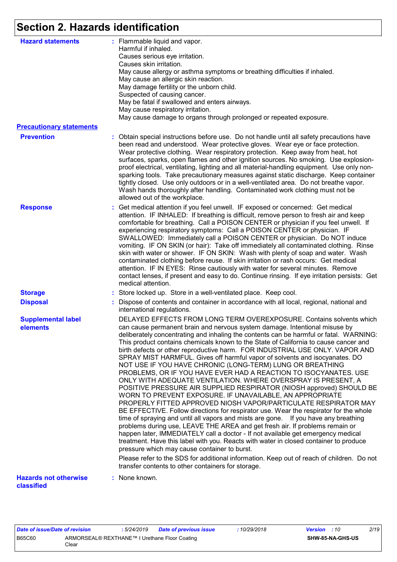## **Section 2. Hazards identification**

| <b>Hazard statements</b>                   | : Flammable liquid and vapor.<br>Harmful if inhaled.<br>Causes serious eye irritation.<br>Causes skin irritation.<br>May cause allergy or asthma symptoms or breathing difficulties if inhaled.<br>May cause an allergic skin reaction.<br>May damage fertility or the unborn child.<br>Suspected of causing cancer.<br>May be fatal if swallowed and enters airways.<br>May cause respiratory irritation.<br>May cause damage to organs through prolonged or repeated exposure.                                                                                                                                                                                                                                                                                                                                                                                                                                                                                                                                                                                                                                                                                                                                                                                                                                                                                                                                                                                                                                                                             |
|--------------------------------------------|--------------------------------------------------------------------------------------------------------------------------------------------------------------------------------------------------------------------------------------------------------------------------------------------------------------------------------------------------------------------------------------------------------------------------------------------------------------------------------------------------------------------------------------------------------------------------------------------------------------------------------------------------------------------------------------------------------------------------------------------------------------------------------------------------------------------------------------------------------------------------------------------------------------------------------------------------------------------------------------------------------------------------------------------------------------------------------------------------------------------------------------------------------------------------------------------------------------------------------------------------------------------------------------------------------------------------------------------------------------------------------------------------------------------------------------------------------------------------------------------------------------------------------------------------------------|
| <b>Precautionary statements</b>            |                                                                                                                                                                                                                                                                                                                                                                                                                                                                                                                                                                                                                                                                                                                                                                                                                                                                                                                                                                                                                                                                                                                                                                                                                                                                                                                                                                                                                                                                                                                                                              |
| <b>Prevention</b>                          | : Obtain special instructions before use. Do not handle until all safety precautions have<br>been read and understood. Wear protective gloves. Wear eye or face protection.<br>Wear protective clothing. Wear respiratory protection. Keep away from heat, hot<br>surfaces, sparks, open flames and other ignition sources. No smoking. Use explosion-<br>proof electrical, ventilating, lighting and all material-handling equipment. Use only non-<br>sparking tools. Take precautionary measures against static discharge. Keep container<br>tightly closed. Use only outdoors or in a well-ventilated area. Do not breathe vapor.<br>Wash hands thoroughly after handling. Contaminated work clothing must not be<br>allowed out of the workplace.                                                                                                                                                                                                                                                                                                                                                                                                                                                                                                                                                                                                                                                                                                                                                                                                       |
| <b>Response</b>                            | : Get medical attention if you feel unwell. IF exposed or concerned: Get medical<br>attention. IF INHALED: If breathing is difficult, remove person to fresh air and keep<br>comfortable for breathing. Call a POISON CENTER or physician if you feel unwell. If<br>experiencing respiratory symptoms: Call a POISON CENTER or physician. IF<br>SWALLOWED: Immediately call a POISON CENTER or physician. Do NOT induce<br>vomiting. IF ON SKIN (or hair): Take off immediately all contaminated clothing. Rinse<br>skin with water or shower. IF ON SKIN: Wash with plenty of soap and water. Wash<br>contaminated clothing before reuse. If skin irritation or rash occurs: Get medical<br>attention. IF IN EYES: Rinse cautiously with water for several minutes. Remove<br>contact lenses, if present and easy to do. Continue rinsing. If eye irritation persists: Get<br>medical attention.                                                                                                                                                                                                                                                                                                                                                                                                                                                                                                                                                                                                                                                            |
| <b>Storage</b>                             | : Store locked up. Store in a well-ventilated place. Keep cool.                                                                                                                                                                                                                                                                                                                                                                                                                                                                                                                                                                                                                                                                                                                                                                                                                                                                                                                                                                                                                                                                                                                                                                                                                                                                                                                                                                                                                                                                                              |
| <b>Disposal</b>                            | : Dispose of contents and container in accordance with all local, regional, national and<br>international regulations.                                                                                                                                                                                                                                                                                                                                                                                                                                                                                                                                                                                                                                                                                                                                                                                                                                                                                                                                                                                                                                                                                                                                                                                                                                                                                                                                                                                                                                       |
| <b>Supplemental label</b><br>elements      | DELAYED EFFECTS FROM LONG TERM OVEREXPOSURE. Contains solvents which<br>can cause permanent brain and nervous system damage. Intentional misuse by<br>deliberately concentrating and inhaling the contents can be harmful or fatal. WARNING:<br>This product contains chemicals known to the State of California to cause cancer and<br>birth defects or other reproductive harm. FOR INDUSTRIAL USE ONLY. VAPOR AND<br>SPRAY MIST HARMFUL. Gives off harmful vapor of solvents and isocyanates. DO<br>NOT USE IF YOU HAVE CHRONIC (LONG-TERM) LUNG OR BREATHING<br>PROBLEMS, OR IF YOU HAVE EVER HAD A REACTION TO ISOCYANATES. USE<br>ONLY WITH ADEQUATE VENTILATION. WHERE OVERSPRAY IS PRESENT, A<br>POSITIVE PRESSURE AIR SUPPLIED RESPIRATOR (NIOSH approved) SHOULD BE<br>WORN TO PREVENT EXPOSURE. IF UNAVAILABLE, AN APPROPRIATE<br>PROPERLY FITTED APPROVED NIOSH VAPOR/PARTICULATE RESPIRATOR MAY<br>BE EFFECTIVE. Follow directions for respirator use. Wear the respirator for the whole<br>time of spraying and until all vapors and mists are gone. If you have any breathing<br>problems during use, LEAVE THE AREA and get fresh air. If problems remain or<br>happen later, IMMEDIATELY call a doctor - If not available get emergency medical<br>treatment. Have this label with you. Reacts with water in closed container to produce<br>pressure which may cause container to burst.<br>Please refer to the SDS for additional information. Keep out of reach of children. Do not<br>transfer contents to other containers for storage. |
| <b>Hazards not otherwise</b><br>classified | : None known.                                                                                                                                                                                                                                                                                                                                                                                                                                                                                                                                                                                                                                                                                                                                                                                                                                                                                                                                                                                                                                                                                                                                                                                                                                                                                                                                                                                                                                                                                                                                                |

*Date of issue/Date of revision* **:** *5/24/2019 Date of previous issue : 10/29/2018 Version : 10 2/19* B65C60 ARMORSEAL® REXTHANE™ I Urethane Floor Coating Clear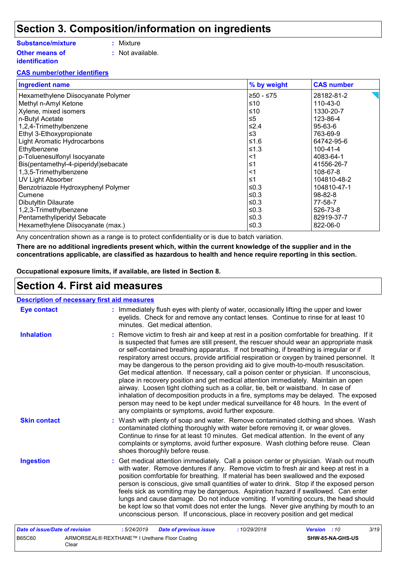### **Section 3. Composition/information on ingredients**

#### **Substance/mixture**

**Other means of identification**

- **:** Mixture
- **:** Not available.

#### **CAS number/other identifiers**

| <b>Ingredient name</b>               | % by weight | <b>CAS number</b> |
|--------------------------------------|-------------|-------------------|
| Hexamethylene Diisocyanate Polymer   | $≥50 - ≤75$ | 28182-81-2        |
| Methyl n-Amyl Ketone                 | ≤10         | 110-43-0          |
| Xylene, mixed isomers                | ≤10         | 1330-20-7         |
| n-Butyl Acetate                      | $\leq 5$    | 123-86-4          |
| 1,2,4-Trimethylbenzene               | ≤2.4        | $95 - 63 - 6$     |
| Ethyl 3-Ethoxypropionate             | $\leq$ 3    | 763-69-9          |
| <b>Light Aromatic Hydrocarbons</b>   | ≤1.6        | 64742-95-6        |
| Ethylbenzene                         | $≤1.3$      | $100 - 41 - 4$    |
| p-Toluenesulfonyl Isocyanate         | <1          | 4083-64-1         |
| Bis(pentamethyl-4-piperidyl)sebacate | ≤1          | 41556-26-7        |
| 1,3,5-Trimethylbenzene               | <1          | 108-67-8          |
| <b>UV Light Absorber</b>             | ≤1          | 104810-48-2       |
| Benzotriazole Hydroxyphenyl Polymer  | $≤0.3$      | 104810-47-1       |
| Cumene                               | ≤0.3        | $98 - 82 - 8$     |
| Dibutyltin Dilaurate                 | ≤0.3        | 77-58-7           |
| 1,2,3-Trimethylbenzene               | ≤0.3        | 526-73-8          |
| Pentamethyliperidyl Sebacate         | ≤ $0.3$     | 82919-37-7        |
| Hexamethylene Diisocyanate (max.)    | ≤0.3        | 822-06-0          |

Any concentration shown as a range is to protect confidentiality or is due to batch variation.

**There are no additional ingredients present which, within the current knowledge of the supplier and in the concentrations applicable, are classified as hazardous to health and hence require reporting in this section.**

**Occupational exposure limits, if available, are listed in Section 8.**

### **Section 4. First aid measures**

Clear

| <b>Description of necessary first aid measures</b> |                                                                                                                                                                                                                                                                                                                                                                                                                                                                                                                                                                                                                                                                                                                                                                                                                                                                                                                                                                                     |  |  |  |  |
|----------------------------------------------------|-------------------------------------------------------------------------------------------------------------------------------------------------------------------------------------------------------------------------------------------------------------------------------------------------------------------------------------------------------------------------------------------------------------------------------------------------------------------------------------------------------------------------------------------------------------------------------------------------------------------------------------------------------------------------------------------------------------------------------------------------------------------------------------------------------------------------------------------------------------------------------------------------------------------------------------------------------------------------------------|--|--|--|--|
| <b>Eye contact</b>                                 | : Immediately flush eyes with plenty of water, occasionally lifting the upper and lower<br>eyelids. Check for and remove any contact lenses. Continue to rinse for at least 10<br>minutes. Get medical attention.                                                                                                                                                                                                                                                                                                                                                                                                                                                                                                                                                                                                                                                                                                                                                                   |  |  |  |  |
| <b>Inhalation</b>                                  | Remove victim to fresh air and keep at rest in a position comfortable for breathing. If it<br>is suspected that fumes are still present, the rescuer should wear an appropriate mask<br>or self-contained breathing apparatus. If not breathing, if breathing is irregular or if<br>respiratory arrest occurs, provide artificial respiration or oxygen by trained personnel. It<br>may be dangerous to the person providing aid to give mouth-to-mouth resuscitation.<br>Get medical attention. If necessary, call a poison center or physician. If unconscious,<br>place in recovery position and get medical attention immediately. Maintain an open<br>airway. Loosen tight clothing such as a collar, tie, belt or waistband. In case of<br>inhalation of decomposition products in a fire, symptoms may be delayed. The exposed<br>person may need to be kept under medical surveillance for 48 hours. In the event of<br>any complaints or symptoms, avoid further exposure. |  |  |  |  |
| <b>Skin contact</b>                                | : Wash with plenty of soap and water. Remove contaminated clothing and shoes. Wash<br>contaminated clothing thoroughly with water before removing it, or wear gloves.<br>Continue to rinse for at least 10 minutes. Get medical attention. In the event of any<br>complaints or symptoms, avoid further exposure. Wash clothing before reuse. Clean<br>shoes thoroughly before reuse.                                                                                                                                                                                                                                                                                                                                                                                                                                                                                                                                                                                               |  |  |  |  |
| <b>Ingestion</b>                                   | : Get medical attention immediately. Call a poison center or physician. Wash out mouth<br>with water. Remove dentures if any. Remove victim to fresh air and keep at rest in a<br>position comfortable for breathing. If material has been swallowed and the exposed<br>person is conscious, give small quantities of water to drink. Stop if the exposed person<br>feels sick as vomiting may be dangerous. Aspiration hazard if swallowed. Can enter<br>lungs and cause damage. Do not induce vomiting. If vomiting occurs, the head should<br>be kept low so that vomit does not enter the lungs. Never give anything by mouth to an<br>unconscious person. If unconscious, place in recovery position and get medical                                                                                                                                                                                                                                                           |  |  |  |  |
| <b>Date of issue/Date of revision</b>              | 3/19<br>:5/24/2019<br><b>Date of previous issue</b><br>:10/29/2018<br><b>Version</b> : 10                                                                                                                                                                                                                                                                                                                                                                                                                                                                                                                                                                                                                                                                                                                                                                                                                                                                                           |  |  |  |  |
| B65C60                                             | ARMORSEAL® REXTHANE™ I Urethane Floor Coating<br>SHW-85-NA-GHS-US                                                                                                                                                                                                                                                                                                                                                                                                                                                                                                                                                                                                                                                                                                                                                                                                                                                                                                                   |  |  |  |  |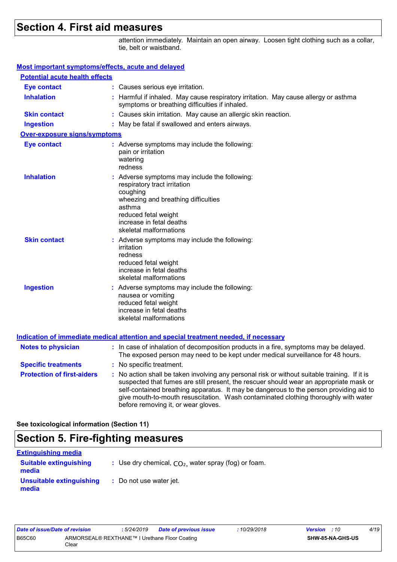## **Section 4. First aid measures**

attention immediately. Maintain an open airway. Loosen tight clothing such as a collar, tie, belt or waistband.

#### **Most important symptoms/effects, acute and delayed**

| <b>Potential acute health effects</b> |                                                                                                                                                                                                                        |
|---------------------------------------|------------------------------------------------------------------------------------------------------------------------------------------------------------------------------------------------------------------------|
| <b>Eye contact</b>                    | : Causes serious eye irritation.                                                                                                                                                                                       |
| <b>Inhalation</b>                     | : Harmful if inhaled. May cause respiratory irritation. May cause allergy or asthma<br>symptoms or breathing difficulties if inhaled.                                                                                  |
| <b>Skin contact</b>                   | : Causes skin irritation. May cause an allergic skin reaction.                                                                                                                                                         |
| <b>Ingestion</b>                      | : May be fatal if swallowed and enters airways.                                                                                                                                                                        |
| Over-exposure signs/symptoms          |                                                                                                                                                                                                                        |
| <b>Eye contact</b>                    | : Adverse symptoms may include the following:<br>pain or irritation<br>watering<br>redness                                                                                                                             |
| <b>Inhalation</b>                     | Adverse symptoms may include the following:<br>respiratory tract irritation<br>coughing<br>wheezing and breathing difficulties<br>asthma<br>reduced fetal weight<br>increase in fetal deaths<br>skeletal malformations |
| <b>Skin contact</b>                   | : Adverse symptoms may include the following:<br>irritation<br>redness<br>reduced fetal weight<br>increase in fetal deaths<br>skeletal malformations                                                                   |
| <b>Ingestion</b>                      | Adverse symptoms may include the following:<br>nausea or vomiting<br>reduced fetal weight<br>increase in fetal deaths<br>skeletal malformations                                                                        |
|                                       | <u>Indication of immediate medical attention and special treatment needed, if necessary</u>                                                                                                                            |
| <b>Notes to physician</b>             | : In case of inhalation of decomposition products in a fire, symptoms may be delayed.<br>The exposed person may need to be kept under medical surveillance for 48 hours.                                               |
| <b>Specific treatments</b>            | : No specific treatment.                                                                                                                                                                                               |
| <b>Protection of first-aiders</b>     | : No action shall be taken involving any personal risk or without suitable training. If it is<br>suspected that fumes are still present, the rescuer should wear an appropriate mask or                                |

suspected that fumes are still present, the rescuer should wear an appropriate mask or self-contained breathing apparatus. It may be dangerous to the person providing aid to give mouth-to-mouth resuscitation. Wash contaminated clothing thoroughly with water before removing it, or wear gloves.

**See toxicological information (Section 11)**

### **Section 5. Fire-fighting measures**

| <b>Extinguishing media</b>             |                                                        |
|----------------------------------------|--------------------------------------------------------|
| <b>Suitable extinguishing</b><br>media | : Use dry chemical, $CO2$ , water spray (fog) or foam. |
| Unsuitable extinguishing<br>media      | : Do not use water jet.                                |

| Date of issue/Date of revision |                                                        | : 5/24/2019 | <b>Date of previous issue</b> | : 10/29/2018 | <b>Version</b> : 10 |                         | 4/19 |
|--------------------------------|--------------------------------------------------------|-------------|-------------------------------|--------------|---------------------|-------------------------|------|
| B65C60                         | ARMORSEAL® REXTHANE™ I Urethane Floor Coating<br>Clear |             |                               |              |                     | <b>SHW-85-NA-GHS-US</b> |      |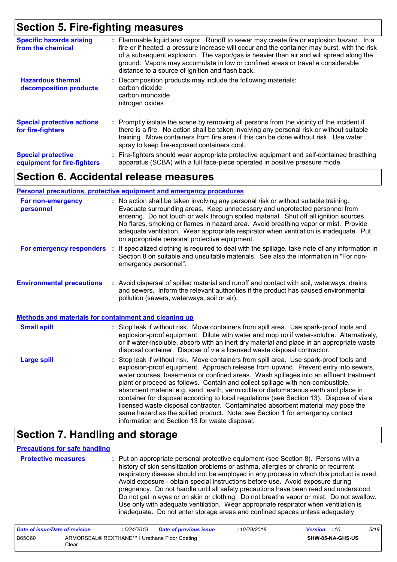## **Section 5. Fire-fighting measures**

| <b>Specific hazards arising</b><br>from the chemical     | : Flammable liquid and vapor. Runoff to sewer may create fire or explosion hazard. In a<br>fire or if heated, a pressure increase will occur and the container may burst, with the risk<br>of a subsequent explosion. The vapor/gas is heavier than air and will spread along the<br>ground. Vapors may accumulate in low or confined areas or travel a considerable<br>distance to a source of ignition and flash back. |
|----------------------------------------------------------|--------------------------------------------------------------------------------------------------------------------------------------------------------------------------------------------------------------------------------------------------------------------------------------------------------------------------------------------------------------------------------------------------------------------------|
| <b>Hazardous thermal</b><br>decomposition products       | Decomposition products may include the following materials:<br>carbon dioxide<br>carbon monoxide<br>nitrogen oxides                                                                                                                                                                                                                                                                                                      |
| <b>Special protective actions</b><br>for fire-fighters   | : Promptly isolate the scene by removing all persons from the vicinity of the incident if<br>there is a fire. No action shall be taken involving any personal risk or without suitable<br>training. Move containers from fire area if this can be done without risk. Use water<br>spray to keep fire-exposed containers cool.                                                                                            |
| <b>Special protective</b><br>equipment for fire-fighters | : Fire-fighters should wear appropriate protective equipment and self-contained breathing<br>apparatus (SCBA) with a full face-piece operated in positive pressure mode.                                                                                                                                                                                                                                                 |

### **Section 6. Accidental release measures**

#### **Personal precautions, protective equipment and emergency procedures**

| For non-emergency<br>personnel                               | : No action shall be taken involving any personal risk or without suitable training.<br>Evacuate surrounding areas. Keep unnecessary and unprotected personnel from<br>entering. Do not touch or walk through spilled material. Shut off all ignition sources.<br>No flares, smoking or flames in hazard area. Avoid breathing vapor or mist. Provide<br>adequate ventilation. Wear appropriate respirator when ventilation is inadequate. Put<br>on appropriate personal protective equipment.                                                                                                                                                                                                                                                                      |  |
|--------------------------------------------------------------|----------------------------------------------------------------------------------------------------------------------------------------------------------------------------------------------------------------------------------------------------------------------------------------------------------------------------------------------------------------------------------------------------------------------------------------------------------------------------------------------------------------------------------------------------------------------------------------------------------------------------------------------------------------------------------------------------------------------------------------------------------------------|--|
| For emergency responders                                     | : If specialized clothing is required to deal with the spillage, take note of any information in<br>Section 8 on suitable and unsuitable materials. See also the information in "For non-<br>emergency personnel".                                                                                                                                                                                                                                                                                                                                                                                                                                                                                                                                                   |  |
| <b>Environmental precautions</b>                             | : Avoid dispersal of spilled material and runoff and contact with soil, waterways, drains<br>and sewers. Inform the relevant authorities if the product has caused environmental<br>pollution (sewers, waterways, soil or air).                                                                                                                                                                                                                                                                                                                                                                                                                                                                                                                                      |  |
| <b>Methods and materials for containment and cleaning up</b> |                                                                                                                                                                                                                                                                                                                                                                                                                                                                                                                                                                                                                                                                                                                                                                      |  |
| <b>Small spill</b>                                           | : Stop leak if without risk. Move containers from spill area. Use spark-proof tools and<br>explosion-proof equipment. Dilute with water and mop up if water-soluble. Alternatively,<br>or if water-insoluble, absorb with an inert dry material and place in an appropriate waste<br>disposal container. Dispose of via a licensed waste disposal contractor.                                                                                                                                                                                                                                                                                                                                                                                                        |  |
| <b>Large spill</b>                                           | : Stop leak if without risk. Move containers from spill area. Use spark-proof tools and<br>explosion-proof equipment. Approach release from upwind. Prevent entry into sewers,<br>water courses, basements or confined areas. Wash spillages into an effluent treatment<br>plant or proceed as follows. Contain and collect spillage with non-combustible,<br>absorbent material e.g. sand, earth, vermiculite or diatomaceous earth and place in<br>container for disposal according to local regulations (see Section 13). Dispose of via a<br>licensed waste disposal contractor. Contaminated absorbent material may pose the<br>same hazard as the spilled product. Note: see Section 1 for emergency contact<br>information and Section 13 for waste disposal. |  |

### **Section 7. Handling and storage**

#### **Precautions for safe handling**

| <b>Protective measures</b> | : Put on appropriate personal protective equipment (see Section 8). Persons with a       |
|----------------------------|------------------------------------------------------------------------------------------|
|                            | history of skin sensitization problems or asthma, allergies or chronic or recurrent      |
|                            | respiratory disease should not be employed in any process in which this product is used. |
|                            | Avoid exposure - obtain special instructions before use. Avoid exposure during           |
|                            | pregnancy. Do not handle until all safety precautions have been read and understood.     |
|                            | Do not get in eyes or on skin or clothing. Do not breathe vapor or mist. Do not swallow. |
|                            | Use only with adequate ventilation. Wear appropriate respirator when ventilation is      |
|                            | inadequate. Do not enter storage areas and confined spaces unless adequately             |

| Date of issue/Date of revision |                                                        | . 5/24/2019 | <b>Date of previous issue</b> | 10/29/2018 | <b>Version</b> : 10 |                         | 5/19 |
|--------------------------------|--------------------------------------------------------|-------------|-------------------------------|------------|---------------------|-------------------------|------|
| <b>B65C60</b>                  | ARMORSEAL® REXTHANE™ I Urethane Floor Coating<br>Clear |             |                               |            |                     | <b>SHW-85-NA-GHS-US</b> |      |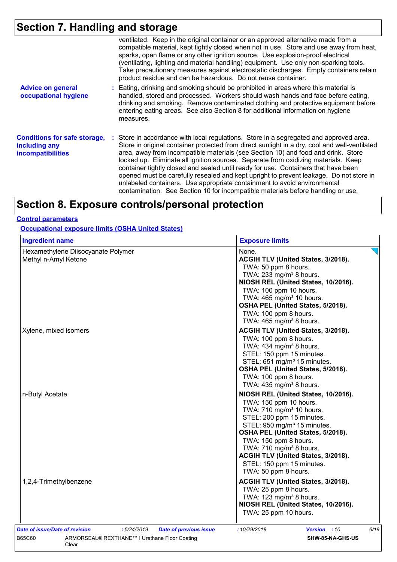## **Section 7. Handling and storage**

|                                                                                  | ventilated. Keep in the original container or an approved alternative made from a<br>compatible material, kept tightly closed when not in use. Store and use away from heat,<br>sparks, open flame or any other ignition source. Use explosion-proof electrical<br>(ventilating, lighting and material handling) equipment. Use only non-sparking tools.<br>Take precautionary measures against electrostatic discharges. Empty containers retain<br>product residue and can be hazardous. Do not reuse container.                                                                                                                                                                                                 |
|----------------------------------------------------------------------------------|--------------------------------------------------------------------------------------------------------------------------------------------------------------------------------------------------------------------------------------------------------------------------------------------------------------------------------------------------------------------------------------------------------------------------------------------------------------------------------------------------------------------------------------------------------------------------------------------------------------------------------------------------------------------------------------------------------------------|
| <b>Advice on general</b><br>occupational hygiene                                 | : Eating, drinking and smoking should be prohibited in areas where this material is<br>handled, stored and processed. Workers should wash hands and face before eating,<br>drinking and smoking. Remove contaminated clothing and protective equipment before<br>entering eating areas. See also Section 8 for additional information on hygiene<br>measures.                                                                                                                                                                                                                                                                                                                                                      |
| <b>Conditions for safe storage,</b><br>including any<br><i>incompatibilities</i> | : Store in accordance with local regulations. Store in a segregated and approved area.<br>Store in original container protected from direct sunlight in a dry, cool and well-ventilated<br>area, away from incompatible materials (see Section 10) and food and drink. Store<br>locked up. Eliminate all ignition sources. Separate from oxidizing materials. Keep<br>container tightly closed and sealed until ready for use. Containers that have been<br>opened must be carefully resealed and kept upright to prevent leakage. Do not store in<br>unlabeled containers. Use appropriate containment to avoid environmental<br>contamination. See Section 10 for incompatible materials before handling or use. |

## **Section 8. Exposure controls/personal protection**

#### **Control parameters**

**Occupational exposure limits (OSHA United States)**

| <b>Ingredient name</b>                                                                                                                   | <b>Exposure limits</b>                                                                                                                                                                                                                                                                                                                                                        |
|------------------------------------------------------------------------------------------------------------------------------------------|-------------------------------------------------------------------------------------------------------------------------------------------------------------------------------------------------------------------------------------------------------------------------------------------------------------------------------------------------------------------------------|
| Hexamethylene Diisocyanate Polymer<br>Methyl n-Amyl Ketone                                                                               | None.<br>ACGIH TLV (United States, 3/2018).<br>TWA: 50 ppm 8 hours.<br>TWA: 233 mg/m <sup>3</sup> 8 hours.<br>NIOSH REL (United States, 10/2016).<br>TWA: 100 ppm 10 hours.<br>TWA: 465 mg/m <sup>3</sup> 10 hours.<br>OSHA PEL (United States, 5/2018).<br>TWA: 100 ppm 8 hours.<br>TWA: 465 mg/m <sup>3</sup> 8 hours.                                                      |
| Xylene, mixed isomers                                                                                                                    | ACGIH TLV (United States, 3/2018).<br>TWA: 100 ppm 8 hours.<br>TWA: 434 mg/m <sup>3</sup> 8 hours.<br>STEL: 150 ppm 15 minutes.<br>STEL: 651 mg/m <sup>3</sup> 15 minutes.<br>OSHA PEL (United States, 5/2018).<br>TWA: 100 ppm 8 hours.<br>TWA: 435 mg/m <sup>3</sup> 8 hours.                                                                                               |
| n-Butyl Acetate                                                                                                                          | NIOSH REL (United States, 10/2016).<br>TWA: 150 ppm 10 hours.<br>TWA: 710 mg/m <sup>3</sup> 10 hours.<br>STEL: 200 ppm 15 minutes.<br>STEL: 950 mg/m <sup>3</sup> 15 minutes.<br>OSHA PEL (United States, 5/2018).<br>TWA: 150 ppm 8 hours.<br>TWA: 710 mg/m <sup>3</sup> 8 hours.<br>ACGIH TLV (United States, 3/2018).<br>STEL: 150 ppm 15 minutes.<br>TWA: 50 ppm 8 hours. |
| 1,2,4-Trimethylbenzene                                                                                                                   | ACGIH TLV (United States, 3/2018).<br>TWA: 25 ppm 8 hours.<br>TWA: 123 mg/m <sup>3</sup> 8 hours.<br>NIOSH REL (United States, 10/2016).<br>TWA: 25 ppm 10 hours.                                                                                                                                                                                                             |
| Date of issue/Date of revision<br>:5/24/2019<br><b>Date of previous issue</b><br>ARMORSEAL® REXTHANE™ I Urethane Floor Coating<br>B65C60 | 6/19<br>:10/29/2018<br>Version : 10<br>SHW-85-NA-GHS-US                                                                                                                                                                                                                                                                                                                       |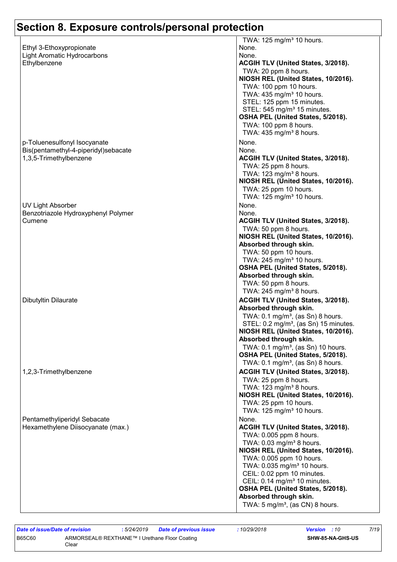| Ethyl 3-Ethoxypropionate<br><b>Light Aromatic Hydrocarbons</b><br>Ethylbenzene                 | TWA: 125 mg/m <sup>3</sup> 10 hours.<br>None.<br>None.<br>ACGIH TLV (United States, 3/2018).<br>TWA: 20 ppm 8 hours.<br>NIOSH REL (United States, 10/2016).<br>TWA: 100 ppm 10 hours.<br>TWA: 435 mg/m <sup>3</sup> 10 hours.<br>STEL: 125 ppm 15 minutes.<br>STEL: 545 mg/m <sup>3</sup> 15 minutes.<br>OSHA PEL (United States, 5/2018).<br>TWA: 100 ppm 8 hours.<br>TWA: 435 mg/m <sup>3</sup> 8 hours.          |
|------------------------------------------------------------------------------------------------|---------------------------------------------------------------------------------------------------------------------------------------------------------------------------------------------------------------------------------------------------------------------------------------------------------------------------------------------------------------------------------------------------------------------|
| p-Toluenesulfonyl Isocyanate<br>Bis(pentamethyl-4-piperidyl)sebacate<br>1,3,5-Trimethylbenzene | None.<br>None.<br>ACGIH TLV (United States, 3/2018).<br>TWA: 25 ppm 8 hours.<br>TWA: 123 mg/m <sup>3</sup> 8 hours.<br>NIOSH REL (United States, 10/2016).<br>TWA: 25 ppm 10 hours.<br>TWA: 125 mg/m <sup>3</sup> 10 hours.                                                                                                                                                                                         |
| UV Light Absorber<br>Benzotriazole Hydroxyphenyl Polymer<br>Cumene                             | None.<br>None.<br>ACGIH TLV (United States, 3/2018).<br>TWA: 50 ppm 8 hours.<br>NIOSH REL (United States, 10/2016).<br>Absorbed through skin.<br>TWA: 50 ppm 10 hours.<br>TWA: 245 mg/m <sup>3</sup> 10 hours.<br>OSHA PEL (United States, 5/2018).                                                                                                                                                                 |
| Dibutyltin Dilaurate                                                                           | Absorbed through skin.<br>TWA: 50 ppm 8 hours.<br>TWA: 245 mg/m <sup>3</sup> 8 hours.<br>ACGIH TLV (United States, 3/2018).<br>Absorbed through skin.<br>TWA: $0.1 \text{ mg/m}^3$ , (as Sn) 8 hours.<br>STEL: 0.2 mg/m <sup>3</sup> , (as Sn) 15 minutes.<br>NIOSH REL (United States, 10/2016).<br>Absorbed through skin.<br>TWA: 0.1 mg/m <sup>3</sup> , (as Sn) 10 hours.                                       |
| 1,2,3-Trimethylbenzene                                                                         | OSHA PEL (United States, 5/2018).<br>TWA: $0.1 \text{ mg/m}^3$ , (as Sn) 8 hours.<br>ACGIH TLV (United States, 3/2018).<br>TWA: 25 ppm 8 hours.<br>TWA: 123 mg/m <sup>3</sup> 8 hours.<br>NIOSH REL (United States, 10/2016).<br>TWA: 25 ppm 10 hours.<br>TWA: 125 mg/m <sup>3</sup> 10 hours.                                                                                                                      |
| Pentamethyliperidyl Sebacate<br>Hexamethylene Diisocyanate (max.)                              | None.<br>ACGIH TLV (United States, 3/2018).<br>TWA: 0.005 ppm 8 hours.<br>TWA: 0.03 mg/m <sup>3</sup> 8 hours.<br>NIOSH REL (United States, 10/2016).<br>TWA: 0.005 ppm 10 hours.<br>TWA: 0.035 mg/m <sup>3</sup> 10 hours.<br>CEIL: 0.02 ppm 10 minutes.<br>CEIL: 0.14 mg/m <sup>3</sup> 10 minutes.<br>OSHA PEL (United States, 5/2018).<br>Absorbed through skin.<br>TWA: 5 mg/m <sup>3</sup> , (as CN) 8 hours. |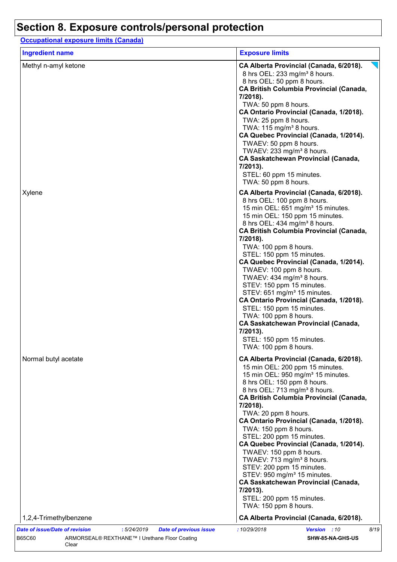**Occupational exposure limits (Canada)**

| <b>Ingredient name</b> | <b>Exposure limits</b>                                                                                                                                                                                                                                                                                                                                                                                                                                                                                                                                                                                                                                                                                                             |
|------------------------|------------------------------------------------------------------------------------------------------------------------------------------------------------------------------------------------------------------------------------------------------------------------------------------------------------------------------------------------------------------------------------------------------------------------------------------------------------------------------------------------------------------------------------------------------------------------------------------------------------------------------------------------------------------------------------------------------------------------------------|
| Methyl n-amyl ketone   | CA Alberta Provincial (Canada, 6/2018).<br>8 hrs OEL: 233 mg/m <sup>3</sup> 8 hours.<br>8 hrs OEL: 50 ppm 8 hours.<br><b>CA British Columbia Provincial (Canada,</b><br>7/2018).<br>TWA: 50 ppm 8 hours.<br>CA Ontario Provincial (Canada, 1/2018).<br>TWA: 25 ppm 8 hours.<br>TWA: $115 \text{ mg/m}^3$ 8 hours.<br>CA Quebec Provincial (Canada, 1/2014).<br>TWAEV: 50 ppm 8 hours.<br>TWAEV: 233 mg/m <sup>3</sup> 8 hours.<br><b>CA Saskatchewan Provincial (Canada,</b><br>7/2013).<br>STEL: 60 ppm 15 minutes.<br>TWA: 50 ppm 8 hours.                                                                                                                                                                                       |
| Xylene                 | CA Alberta Provincial (Canada, 6/2018).<br>8 hrs OEL: 100 ppm 8 hours.<br>15 min OEL: 651 mg/m <sup>3</sup> 15 minutes.<br>15 min OEL: 150 ppm 15 minutes.<br>8 hrs OEL: 434 mg/m <sup>3</sup> 8 hours.<br><b>CA British Columbia Provincial (Canada,</b><br>7/2018).<br>TWA: 100 ppm 8 hours.<br>STEL: 150 ppm 15 minutes.<br>CA Quebec Provincial (Canada, 1/2014).<br>TWAEV: 100 ppm 8 hours.<br>TWAEV: 434 mg/m <sup>3</sup> 8 hours.<br>STEV: 150 ppm 15 minutes.<br>STEV: 651 mg/m <sup>3</sup> 15 minutes.<br>CA Ontario Provincial (Canada, 1/2018).<br>STEL: 150 ppm 15 minutes.<br>TWA: 100 ppm 8 hours.<br><b>CA Saskatchewan Provincial (Canada,</b><br>7/2013).<br>STEL: 150 ppm 15 minutes.<br>TWA: 100 ppm 8 hours. |
| Normal butyl acetate   | CA Alberta Provincial (Canada, 6/2018).<br>15 min OEL: 200 ppm 15 minutes.<br>15 min OEL: 950 mg/m <sup>3</sup> 15 minutes.<br>8 hrs OEL: 150 ppm 8 hours.<br>8 hrs OEL: 713 mg/m <sup>3</sup> 8 hours.<br><b>CA British Columbia Provincial (Canada,</b><br>7/2018).<br>TWA: 20 ppm 8 hours.<br>CA Ontario Provincial (Canada, 1/2018).<br>TWA: 150 ppm 8 hours.<br>STEL: 200 ppm 15 minutes.<br>CA Quebec Provincial (Canada, 1/2014).<br>TWAEV: 150 ppm 8 hours.<br>TWAEV: 713 mg/m <sup>3</sup> 8 hours.<br>STEV: 200 ppm 15 minutes.<br>STEV: 950 mg/m <sup>3</sup> 15 minutes.<br><b>CA Saskatchewan Provincial (Canada,</b><br>7/2013).<br>STEL: 200 ppm 15 minutes.<br>TWA: 150 ppm 8 hours.                               |
| 1,2,4-Trimethylbenzene | CA Alberta Provincial (Canada, 6/2018).                                                                                                                                                                                                                                                                                                                                                                                                                                                                                                                                                                                                                                                                                            |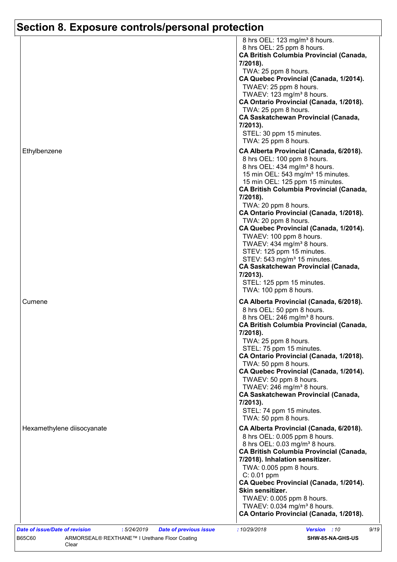| Ethylbenzene               | 8 hrs OEL: 123 mg/m <sup>3</sup> 8 hours.<br>8 hrs OEL: 25 ppm 8 hours.<br><b>CA British Columbia Provincial (Canada,</b><br>7/2018).<br>TWA: 25 ppm 8 hours.<br>CA Quebec Provincial (Canada, 1/2014).<br>TWAEV: 25 ppm 8 hours.<br>TWAEV: 123 mg/m <sup>3</sup> 8 hours.<br>CA Ontario Provincial (Canada, 1/2018).<br>TWA: 25 ppm 8 hours.<br><b>CA Saskatchewan Provincial (Canada,</b><br>7/2013).<br>STEL: 30 ppm 15 minutes.<br>TWA: 25 ppm 8 hours.<br>CA Alberta Provincial (Canada, 6/2018).<br>8 hrs OEL: 100 ppm 8 hours.<br>8 hrs OEL: 434 mg/m <sup>3</sup> 8 hours.<br>15 min OEL: 543 mg/m <sup>3</sup> 15 minutes.<br>15 min OEL: 125 ppm 15 minutes.<br><b>CA British Columbia Provincial (Canada,</b><br>7/2018).<br>TWA: 20 ppm 8 hours.<br>CA Ontario Provincial (Canada, 1/2018).<br>TWA: 20 ppm 8 hours.<br>CA Quebec Provincial (Canada, 1/2014).<br>TWAEV: 100 ppm 8 hours.<br>TWAEV: 434 mg/m <sup>3</sup> 8 hours.<br>STEV: 125 ppm 15 minutes.<br>STEV: 543 mg/m <sup>3</sup> 15 minutes. |
|----------------------------|-----------------------------------------------------------------------------------------------------------------------------------------------------------------------------------------------------------------------------------------------------------------------------------------------------------------------------------------------------------------------------------------------------------------------------------------------------------------------------------------------------------------------------------------------------------------------------------------------------------------------------------------------------------------------------------------------------------------------------------------------------------------------------------------------------------------------------------------------------------------------------------------------------------------------------------------------------------------------------------------------------------------------|
| Cumene                     | <b>CA Saskatchewan Provincial (Canada,</b><br>7/2013).<br>STEL: 125 ppm 15 minutes.<br>TWA: 100 ppm 8 hours.<br>CA Alberta Provincial (Canada, 6/2018).                                                                                                                                                                                                                                                                                                                                                                                                                                                                                                                                                                                                                                                                                                                                                                                                                                                               |
|                            | 8 hrs OEL: 50 ppm 8 hours.<br>8 hrs OEL: 246 mg/m <sup>3</sup> 8 hours.<br>CA British Columbia Provincial (Canada,<br>7/2018).<br>TWA: 25 ppm 8 hours.                                                                                                                                                                                                                                                                                                                                                                                                                                                                                                                                                                                                                                                                                                                                                                                                                                                                |
|                            | STEL: 75 ppm 15 minutes.<br>CA Ontario Provincial (Canada, 1/2018).<br>TWA: 50 ppm 8 hours.<br>CA Quebec Provincial (Canada, 1/2014).<br>TWAEV: 50 ppm 8 hours.<br>TWAEV: 246 mg/m <sup>3</sup> 8 hours.<br><b>CA Saskatchewan Provincial (Canada,</b><br>7/2013).<br>STEL: 74 ppm 15 minutes.<br>TWA: 50 ppm 8 hours.                                                                                                                                                                                                                                                                                                                                                                                                                                                                                                                                                                                                                                                                                                |
| Hexamethylene diisocyanate | CA Alberta Provincial (Canada, 6/2018).<br>8 hrs OEL: 0.005 ppm 8 hours.<br>8 hrs OEL: 0.03 mg/m <sup>3</sup> 8 hours.<br><b>CA British Columbia Provincial (Canada,</b><br>7/2018). Inhalation sensitizer.<br>TWA: 0.005 ppm 8 hours.<br>$C: 0.01$ ppm                                                                                                                                                                                                                                                                                                                                                                                                                                                                                                                                                                                                                                                                                                                                                               |
|                            | CA Quebec Provincial (Canada, 1/2014).<br>Skin sensitizer.                                                                                                                                                                                                                                                                                                                                                                                                                                                                                                                                                                                                                                                                                                                                                                                                                                                                                                                                                            |
|                            | TWAEV: 0.005 ppm 8 hours.<br>TWAEV: $0.034$ mg/m <sup>3</sup> 8 hours.<br>CA Ontario Provincial (Canada, 1/2018).<br>9/19                                                                                                                                                                                                                                                                                                                                                                                                                                                                                                                                                                                                                                                                                                                                                                                                                                                                                             |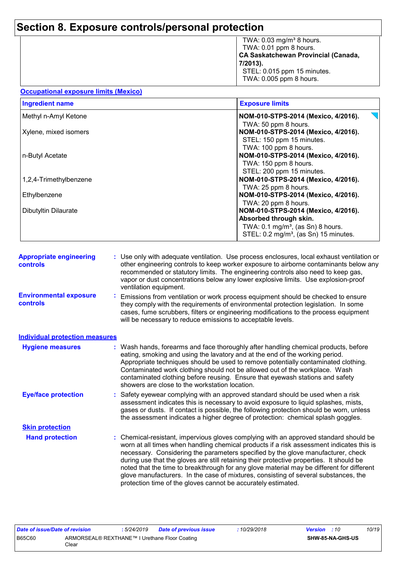| TWA: 0.03 mg/m <sup>3</sup> 8 hours.                          |
|---------------------------------------------------------------|
| TWA: 0.01 ppm 8 hours.<br>CA Saskatchewan Provincial (Canada, |
|                                                               |
| $ 7/2013$ ).                                                  |
| STEL: 0.015 ppm 15 minutes.                                   |
| TWA: 0.005 ppm 8 hours.                                       |
|                                                               |

| Occupational exposure limits (Mexico) |
|---------------------------------------|
|---------------------------------------|

| <b>Ingredient name</b> | <b>Exposure limits</b>                            |
|------------------------|---------------------------------------------------|
| Methyl n-Amyl Ketone   | NOM-010-STPS-2014 (Mexico, 4/2016).               |
|                        | TWA: 50 ppm 8 hours.                              |
| Xylene, mixed isomers  | NOM-010-STPS-2014 (Mexico, 4/2016).               |
|                        | STEL: 150 ppm 15 minutes.                         |
|                        | TWA: 100 ppm 8 hours.                             |
| n-Butyl Acetate        | NOM-010-STPS-2014 (Mexico, 4/2016).               |
|                        | TWA: 150 ppm 8 hours.                             |
|                        | STEL: 200 ppm 15 minutes.                         |
| 1,2,4-Trimethylbenzene | NOM-010-STPS-2014 (Mexico, 4/2016).               |
|                        | TWA: 25 ppm 8 hours.                              |
| Ethylbenzene           | NOM-010-STPS-2014 (Mexico, 4/2016).               |
|                        | TWA: 20 ppm 8 hours.                              |
| Dibutyltin Dilaurate   | NOM-010-STPS-2014 (Mexico, 4/2016).               |
|                        | Absorbed through skin.                            |
|                        | TWA: $0.1 \text{ mg/m}^3$ , (as Sn) 8 hours.      |
|                        | STEL: 0.2 mg/m <sup>3</sup> , (as Sn) 15 minutes. |

| <b>Appropriate engineering</b><br><b>controls</b> | : Use only with adequate ventilation. Use process enclosures, local exhaust ventilation or<br>other engineering controls to keep worker exposure to airborne contaminants below any<br>recommended or statutory limits. The engineering controls also need to keep gas,<br>vapor or dust concentrations below any lower explosive limits. Use explosion-proof<br>ventilation equipment. |  |
|---------------------------------------------------|-----------------------------------------------------------------------------------------------------------------------------------------------------------------------------------------------------------------------------------------------------------------------------------------------------------------------------------------------------------------------------------------|--|
| <b>Environmental exposure</b><br><b>controls</b>  | Emissions from ventilation or work process equipment should be checked to ensure<br>they comply with the requirements of environmental protection legislation. In some<br>cases, fume scrubbers, filters or engineering modifications to the process equipment<br>will be necessary to reduce emissions to acceptable levels.                                                           |  |

| <b>Individual protection measures</b> |                                                                                                                                                                                                                                                                                                                                                                                                                                                                                                                                                       |
|---------------------------------------|-------------------------------------------------------------------------------------------------------------------------------------------------------------------------------------------------------------------------------------------------------------------------------------------------------------------------------------------------------------------------------------------------------------------------------------------------------------------------------------------------------------------------------------------------------|
| <b>Hygiene measures</b>               | : Wash hands, forearms and face thoroughly after handling chemical products, before<br>eating, smoking and using the lavatory and at the end of the working period.<br>Appropriate techniques should be used to remove potentially contaminated clothing.<br>Contaminated work clothing should not be allowed out of the workplace. Wash<br>contaminated clothing before reusing. Ensure that eyewash stations and safety<br>showers are close to the workstation location.                                                                           |
| <b>Eye/face protection</b>            | : Safety eyewear complying with an approved standard should be used when a risk<br>assessment indicates this is necessary to avoid exposure to liquid splashes, mists,<br>gases or dusts. If contact is possible, the following protection should be worn, unless<br>the assessment indicates a higher degree of protection: chemical splash goggles.                                                                                                                                                                                                 |
| <b>Skin protection</b>                |                                                                                                                                                                                                                                                                                                                                                                                                                                                                                                                                                       |
| <b>Hand protection</b>                | : Chemical-resistant, impervious gloves complying with an approved standard should be<br>worn at all times when handling chemical products if a risk assessment indicates this is<br>necessary. Considering the parameters specified by the glove manufacturer, check<br>during use that the gloves are still retaining their protective properties. It should be<br>noted that the time to breakthrough for any glove material may be different for different<br>glove manufacturers. In the case of mixtures, consisting of several substances, the |

protection time of the gloves cannot be accurately estimated.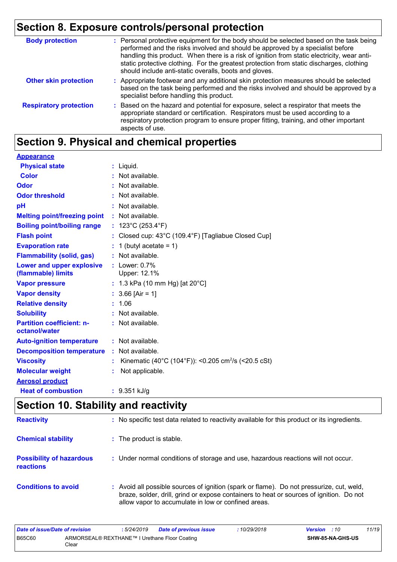| <b>Body protection</b>        | : Personal protective equipment for the body should be selected based on the task being<br>performed and the risks involved and should be approved by a specialist before<br>handling this product. When there is a risk of ignition from static electricity, wear anti-<br>static protective clothing. For the greatest protection from static discharges, clothing<br>should include anti-static overalls, boots and gloves. |
|-------------------------------|--------------------------------------------------------------------------------------------------------------------------------------------------------------------------------------------------------------------------------------------------------------------------------------------------------------------------------------------------------------------------------------------------------------------------------|
| <b>Other skin protection</b>  | : Appropriate footwear and any additional skin protection measures should be selected<br>based on the task being performed and the risks involved and should be approved by a<br>specialist before handling this product.                                                                                                                                                                                                      |
| <b>Respiratory protection</b> | Based on the hazard and potential for exposure, select a respirator that meets the<br>appropriate standard or certification. Respirators must be used according to a<br>respiratory protection program to ensure proper fitting, training, and other important<br>aspects of use.                                                                                                                                              |

## **Section 9. Physical and chemical properties**

| <b>Appearance</b>                                 |    |                                                                 |
|---------------------------------------------------|----|-----------------------------------------------------------------|
| <b>Physical state</b>                             |    | $:$ Liquid.                                                     |
| <b>Color</b>                                      |    | : Not available.                                                |
| <b>Odor</b>                                       |    | $:$ Not available.                                              |
| <b>Odor threshold</b>                             |    | $:$ Not available.                                              |
| pH                                                |    | $:$ Not available.                                              |
| <b>Melting point/freezing point</b>               |    | $:$ Not available.                                              |
| <b>Boiling point/boiling range</b>                |    | : $123^{\circ}$ C (253.4 $^{\circ}$ F)                          |
| <b>Flash point</b>                                |    | Closed cup: 43°C (109.4°F) [Tagliabue Closed Cup]               |
| <b>Evaporation rate</b>                           |    | 1 (butyl acetate = $1$ )                                        |
| <b>Flammability (solid, gas)</b>                  |    | $:$ Not available.                                              |
| Lower and upper explosive<br>(flammable) limits   |    | : Lower: $0.7\%$<br>Upper: 12.1%                                |
| <b>Vapor pressure</b>                             |    | : 1.3 kPa (10 mm Hg) [at $20^{\circ}$ C]                        |
| <b>Vapor density</b>                              |    | $: 3.66$ [Air = 1]                                              |
| <b>Relative density</b>                           |    | : 1.06                                                          |
| <b>Solubility</b>                                 |    | $:$ Not available.                                              |
| <b>Partition coefficient: n-</b><br>octanol/water |    | : Not available.                                                |
| <b>Auto-ignition temperature</b>                  |    | $:$ Not available.                                              |
| <b>Decomposition temperature</b>                  |    | $:$ Not available.                                              |
| <b>Viscosity</b>                                  | ÷. | Kinematic (40°C (104°F)): <0.205 cm <sup>2</sup> /s (<20.5 cSt) |
| <b>Molecular weight</b>                           |    | Not applicable.                                                 |
| <b>Aerosol product</b>                            |    |                                                                 |
| <b>Heat of combustion</b>                         |    | : 9.351 kJ/g                                                    |

## **Section 10. Stability and reactivity**

| <b>Reactivity</b>                                   | : No specific test data related to reactivity available for this product or its ingredients.                                                                                                                                               |
|-----------------------------------------------------|--------------------------------------------------------------------------------------------------------------------------------------------------------------------------------------------------------------------------------------------|
| <b>Chemical stability</b>                           | : The product is stable.                                                                                                                                                                                                                   |
| <b>Possibility of hazardous</b><br><b>reactions</b> | : Under normal conditions of storage and use, hazardous reactions will not occur.                                                                                                                                                          |
| <b>Conditions to avoid</b>                          | : Avoid all possible sources of ignition (spark or flame). Do not pressurize, cut, weld,<br>braze, solder, drill, grind or expose containers to heat or sources of ignition. Do not<br>allow vapor to accumulate in low or confined areas. |

| Date of issue/Date of revision                                          |  | : 5/24/2019 | <b>Date of previous issue</b> | 10/29/2018 | <b>Version</b> : 10 | 11/19 |
|-------------------------------------------------------------------------|--|-------------|-------------------------------|------------|---------------------|-------|
| <b>B65C60</b><br>ARMORSEAL® REXTHANE™ I Urethane Floor Coating<br>Clear |  |             | SHW-85-NA-GHS-US              |            |                     |       |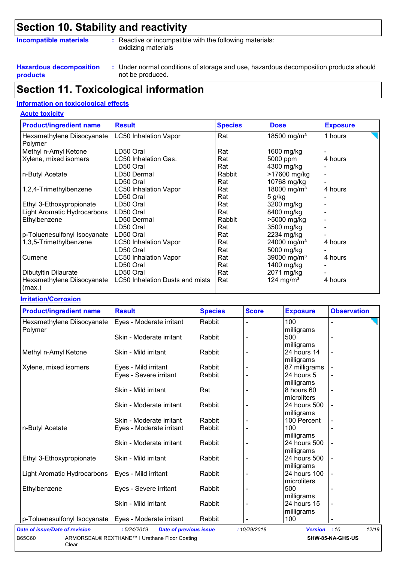## **Section 10. Stability and reactivity**

#### **Incompatible materials :**

- Reactive or incompatible with the following materials: oxidizing materials
- **Hazardous decomposition products**

**Acute toxicity**

Under normal conditions of storage and use, hazardous decomposition products should **:** not be produced.

### **Section 11. Toxicological information**

#### **Information on toxicological effects**

| <b>Product/ingredient name</b>        | <b>Result</b>                   | <b>Species</b> | <b>Dose</b>             | <b>Exposure</b> |
|---------------------------------------|---------------------------------|----------------|-------------------------|-----------------|
| Hexamethylene Diisocyanate<br>Polymer | <b>LC50 Inhalation Vapor</b>    | Rat            | 18500 mg/m <sup>3</sup> | 1 hours         |
| Methyl n-Amyl Ketone                  | LD50 Oral                       | Rat            | 1600 mg/kg              |                 |
| Xylene, mixed isomers                 | LC50 Inhalation Gas.            | Rat            | 5000 ppm                | 4 hours         |
|                                       | LD50 Oral                       | Rat            | 4300 mg/kg              |                 |
| n-Butyl Acetate                       | LD50 Dermal                     | Rabbit         | >17600 mg/kg            |                 |
|                                       | LD50 Oral                       | Rat            | 10768 mg/kg             |                 |
| 1,2,4-Trimethylbenzene                | <b>LC50 Inhalation Vapor</b>    | Rat            | 18000 mg/m <sup>3</sup> | 4 hours         |
|                                       | LD50 Oral                       | Rat            | $5$ g/kg                |                 |
| Ethyl 3-Ethoxypropionate              | LD50 Oral                       | Rat            | 3200 mg/kg              |                 |
| Light Aromatic Hydrocarbons           | LD50 Oral                       | Rat            | 8400 mg/kg              |                 |
| Ethylbenzene                          | LD50 Dermal                     | Rabbit         | >5000 mg/kg             |                 |
|                                       | LD50 Oral                       | Rat            | 3500 mg/kg              |                 |
| p-Toluenesulfonyl Isocyanate          | LD50 Oral                       | Rat            | 2234 mg/kg              |                 |
| 1,3,5-Trimethylbenzene                | <b>LC50 Inhalation Vapor</b>    | Rat            | 24000 mg/m <sup>3</sup> | 4 hours         |
|                                       | LD50 Oral                       | Rat            | 5000 mg/kg              |                 |
| Cumene                                | <b>LC50 Inhalation Vapor</b>    | Rat            | 39000 mg/m <sup>3</sup> | 4 hours         |
|                                       | LD50 Oral                       | Rat            | 1400 mg/kg              |                 |
| Dibutyltin Dilaurate                  | LD50 Oral                       | Rat            | 2071 mg/kg              |                 |
| Hexamethylene Diisocyanate<br>(max.)  | LC50 Inhalation Dusts and mists | Rat            | 124 mg/m <sup>3</sup>   | 4 hours         |

#### **Irritation/Corrosion**

| <b>Product/ingredient name</b>                          | <b>Result</b>            | <b>Species</b> | <b>Score</b> | <b>Exposure</b>           | <b>Observation</b>       |
|---------------------------------------------------------|--------------------------|----------------|--------------|---------------------------|--------------------------|
| Hexamethylene Diisocyanate<br>Polymer                   | Eyes - Moderate irritant | Rabbit         |              | 100<br>milligrams         | L,                       |
|                                                         | Skin - Moderate irritant | Rabbit         |              | 500                       | $\overline{\phantom{0}}$ |
| Methyl n-Amyl Ketone                                    | Skin - Mild irritant     | Rabbit         |              | milligrams<br>24 hours 14 | $\blacksquare$           |
|                                                         |                          |                |              | milligrams                |                          |
| Xylene, mixed isomers                                   | Eyes - Mild irritant     | Rabbit         |              | 87 milligrams             |                          |
|                                                         | Eyes - Severe irritant   | Rabbit         |              | 24 hours 5                |                          |
|                                                         | Skin - Mild irritant     | Rat            |              | milligrams<br>8 hours 60  |                          |
|                                                         |                          |                |              | microliters               | $\blacksquare$           |
|                                                         | Skin - Moderate irritant | Rabbit         |              | 24 hours 500              |                          |
|                                                         |                          |                |              | milligrams                |                          |
|                                                         | Skin - Moderate irritant | Rabbit         |              | 100 Percent               |                          |
| n-Butyl Acetate                                         | Eyes - Moderate irritant | Rabbit         |              | 100                       |                          |
|                                                         |                          |                |              | milligrams                |                          |
|                                                         | Skin - Moderate irritant | Rabbit         |              | 24 hours 500              |                          |
|                                                         |                          |                |              | milligrams                |                          |
| Ethyl 3-Ethoxypropionate                                | Skin - Mild irritant     | Rabbit         |              | 24 hours 500              |                          |
|                                                         |                          |                |              | milligrams                |                          |
| Light Aromatic Hydrocarbons                             | Eyes - Mild irritant     | Rabbit         |              | 24 hours 100              |                          |
|                                                         |                          |                |              | microliters               |                          |
| Ethylbenzene                                            | Eyes - Severe irritant   | Rabbit         |              | 500                       | ٠                        |
|                                                         |                          |                |              | milligrams                |                          |
|                                                         | Skin - Mild irritant     | Rabbit         |              | 24 hours 15               |                          |
|                                                         |                          |                |              | milligrams                |                          |
| p-Toluenesulfonyl Isocyanate   Eyes - Moderate irritant |                          | Rabbit         |              | 100                       | $\overline{\phantom{a}}$ |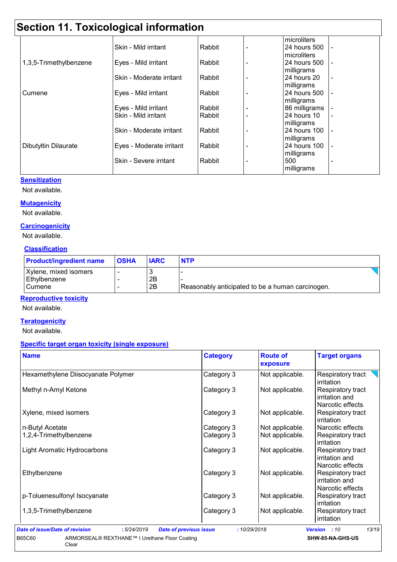## **Section 11. Toxicological information**

|                        |                          |        |                          | microliters   |                          |
|------------------------|--------------------------|--------|--------------------------|---------------|--------------------------|
|                        | Skin - Mild irritant     | Rabbit | $\overline{\phantom{0}}$ | 24 hours 500  |                          |
|                        |                          |        |                          | microliters   |                          |
| 1,3,5-Trimethylbenzene | Eyes - Mild irritant     | Rabbit |                          | 24 hours 500  |                          |
|                        |                          |        |                          | milligrams    |                          |
|                        | Skin - Moderate irritant | Rabbit |                          | 24 hours 20   |                          |
|                        |                          |        |                          | milligrams    |                          |
| Cumene                 | Eyes - Mild irritant     | Rabbit |                          | 24 hours 500  | $\overline{\phantom{a}}$ |
|                        |                          |        |                          | milligrams    |                          |
|                        | Eyes - Mild irritant     | Rabbit |                          | 86 milligrams |                          |
|                        | Skin - Mild irritant     | Rabbit | ٠                        | 24 hours 10   | $\overline{\phantom{a}}$ |
|                        |                          |        |                          | milligrams    |                          |
|                        | Skin - Moderate irritant | Rabbit |                          | 24 hours 100  | $\overline{\phantom{a}}$ |
|                        |                          |        |                          | milligrams    |                          |
| Dibutyltin Dilaurate   | Eyes - Moderate irritant | Rabbit |                          | 24 hours 100  | $\overline{\phantom{a}}$ |
|                        |                          |        |                          | milligrams    |                          |
|                        | Skin - Severe irritant   | Rabbit |                          | 500           |                          |
|                        |                          |        |                          | milligrams    |                          |

#### **Sensitization**

Not available.

#### **Mutagenicity**

Not available.

#### **Carcinogenicity**

Not available.

#### **Classification**

| <b>Product/ingredient name</b> | <b>OSHA</b> | <b>IARC</b> | <b>NTP</b>                                       |
|--------------------------------|-------------|-------------|--------------------------------------------------|
| Xylene, mixed isomers          |             |             |                                                  |
| Ethylbenzene                   |             | 2B          |                                                  |
| Cumene                         |             | 2B          | Reasonably anticipated to be a human carcinogen. |

#### **Reproductive toxicity**

Not available.

#### **Teratogenicity**

Not available.

#### **Specific target organ toxicity (single exposure)**

| <b>Name</b>                        | <b>Category</b> | <b>Route of</b><br>exposure | <b>Target organs</b>                                           |
|------------------------------------|-----------------|-----------------------------|----------------------------------------------------------------|
| Hexamethylene Diisocyanate Polymer | Category 3      | Not applicable.             | Respiratory tract<br>irritation                                |
| Methyl n-Amyl Ketone               | Category 3      | Not applicable.             | Respiratory tract<br>irritation and<br>Narcotic effects        |
| Xylene, mixed isomers              | Category 3      | Not applicable.             | Respiratory tract<br>irritation                                |
| n-Butyl Acetate                    | Category 3      | Not applicable.             | Narcotic effects                                               |
| 1,2,4-Trimethylbenzene             | Category 3      | Not applicable.             | Respiratory tract<br>irritation                                |
| <b>Light Aromatic Hydrocarbons</b> | Category 3      | Not applicable.             | <b>Respiratory tract</b><br>irritation and<br>Narcotic effects |
| Ethylbenzene                       | Category 3      | Not applicable.             | Respiratory tract<br>irritation and<br>Narcotic effects        |
| p-Toluenesulfonyl Isocyanate       | Category 3      | Not applicable.             | <b>Respiratory tract</b><br>irritation                         |
| 1,3,5-Trimethylbenzene             | Category 3      | Not applicable.             | Respiratory tract<br>irritation                                |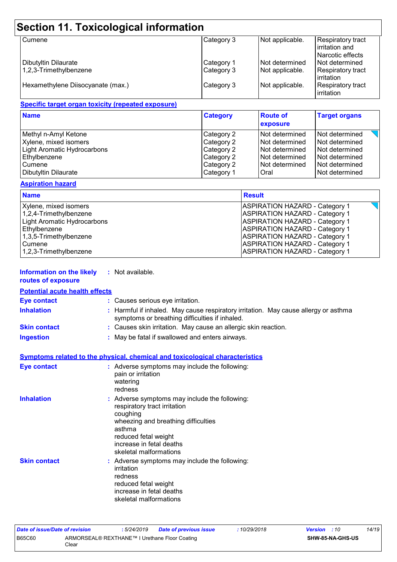## **Section 11. Toxicological information**

| <b>Cumene</b>                                  | Category 3               | Not applicable.                    | <b>Respiratory tract</b><br>lirritation and<br>Narcotic effects |
|------------------------------------------------|--------------------------|------------------------------------|-----------------------------------------------------------------|
| Dibutyltin Dilaurate<br>1,2,3-Trimethylbenzene | Category 1<br>Category 3 | INot determined<br>Not applicable. | Not determined<br>Respiratory tract<br><b>lirritation</b>       |
| Hexamethylene Diisocyanate (max.)              | Category 3               | Not applicable.                    | <b>Respiratory tract</b><br>irritation                          |

#### **Specific target organ toxicity (repeated exposure)**

| <b>Name</b>                 | <b>Category</b> | <b>Route of</b><br>exposure | <b>Target organs</b> |
|-----------------------------|-----------------|-----------------------------|----------------------|
| Methyl n-Amyl Ketone        | Category 2      | Not determined              | Not determined       |
| Xylene, mixed isomers       | Category 2      | l Not determined            | Not determined       |
| Light Aromatic Hydrocarbons | Category 2      | l Not determined            | Not determined       |
| Ethylbenzene                | Category 2      | l Not determined            | Not determined       |
| Cumene                      | Category 2      | Not determined              | Not determined       |
| Dibutyltin Dilaurate        | Category 1      | Oral                        | Not determined       |

#### **Aspiration hazard**

| <b>Name</b>                 | <b>Result</b>                         |
|-----------------------------|---------------------------------------|
| Xylene, mixed isomers       | <b>ASPIRATION HAZARD - Category 1</b> |
| $1,2,4$ -Trimethylbenzene   | <b>ASPIRATION HAZARD - Category 1</b> |
| Light Aromatic Hydrocarbons | <b>ASPIRATION HAZARD - Category 1</b> |
| Ethylbenzene                | <b>ASPIRATION HAZARD - Category 1</b> |
| $1,3,5$ -Trimethylbenzene   | <b>ASPIRATION HAZARD - Category 1</b> |
| <b>Cumene</b>               | <b>ASPIRATION HAZARD - Category 1</b> |
| $1,2,3$ -Trimethylbenzene   | <b>ASPIRATION HAZARD - Category 1</b> |

| <b>Information on the likely</b> | Not available. |
|----------------------------------|----------------|
|----------------------------------|----------------|

### **routes of exposure**

**Potential acute health effects**

| <b>Eye contact</b>  | : Causes serious eye irritation.                                                                                                      |
|---------------------|---------------------------------------------------------------------------------------------------------------------------------------|
| <b>Inhalation</b>   | : Harmful if inhaled. May cause respiratory irritation. May cause allergy or asthma<br>symptoms or breathing difficulties if inhaled. |
| <b>Skin contact</b> | : Causes skin irritation. May cause an allergic skin reaction.                                                                        |
| <b>Ingestion</b>    | : May be fatal if swallowed and enters airways.                                                                                       |
|                     |                                                                                                                                       |

| Symptoms related to the physical, chemical and toxicological characteristics |
|------------------------------------------------------------------------------|
|------------------------------------------------------------------------------|

| <b>Eye contact</b>  | : Adverse symptoms may include the following:<br>pain or irritation<br>watering<br>redness                                                                                                                               |
|---------------------|--------------------------------------------------------------------------------------------------------------------------------------------------------------------------------------------------------------------------|
| <b>Inhalation</b>   | : Adverse symptoms may include the following:<br>respiratory tract irritation<br>coughing<br>wheezing and breathing difficulties<br>asthma<br>reduced fetal weight<br>increase in fetal deaths<br>skeletal malformations |
| <b>Skin contact</b> | : Adverse symptoms may include the following:<br>irritation<br>redness<br>reduced fetal weight<br>increase in fetal deaths<br>skeletal malformations                                                                     |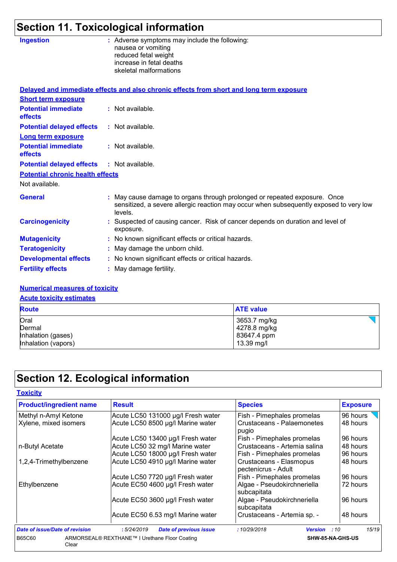## **Section 11. Toxicological information**

| <b>Ingestion</b>                        | : Adverse symptoms may include the following:<br>nausea or vomiting<br>reduced fetal weight<br>increase in fetal deaths<br>skeletal malformations                              |
|-----------------------------------------|--------------------------------------------------------------------------------------------------------------------------------------------------------------------------------|
|                                         | Delayed and immediate effects and also chronic effects from short and long term exposure                                                                                       |
| <b>Short term exposure</b>              |                                                                                                                                                                                |
| <b>Potential immediate</b><br>effects   | : Not available.                                                                                                                                                               |
| <b>Potential delayed effects</b>        | : Not available.                                                                                                                                                               |
| <b>Long term exposure</b>               |                                                                                                                                                                                |
| <b>Potential immediate</b><br>effects   | : Not available.                                                                                                                                                               |
| <b>Potential delayed effects</b>        | $:$ Not available.                                                                                                                                                             |
| <b>Potential chronic health effects</b> |                                                                                                                                                                                |
| Not available.                          |                                                                                                                                                                                |
| <b>General</b>                          | : May cause damage to organs through prolonged or repeated exposure. Once<br>sensitized, a severe allergic reaction may occur when subsequently exposed to very low<br>levels. |
| <b>Carcinogenicity</b>                  | : Suspected of causing cancer. Risk of cancer depends on duration and level of<br>exposure.                                                                                    |
| <b>Mutagenicity</b>                     | : No known significant effects or critical hazards.                                                                                                                            |
| <b>Teratogenicity</b>                   | : May damage the unborn child.                                                                                                                                                 |
| <b>Developmental effects</b>            | : No known significant effects or critical hazards.                                                                                                                            |
| <b>Fertility effects</b>                | : May damage fertility.                                                                                                                                                        |

#### **Numerical measures of toxicity**

#### **Acute toxicity estimates**

| <b>Route</b>        | <b>ATE value</b> |
|---------------------|------------------|
| Oral                | 3653.7 mg/kg     |
| Dermal              | 4278.8 mg/kg     |
| Inhalation (gases)  | 83647.4 ppm      |
| Inhalation (vapors) | 13.39 mg/l       |

## **Section 12. Ecological information**

| <b>Toxicity</b>                               |
|-----------------------------------------------|
| <b>Product/ingredient nam</b>                 |
| Methyl n-Amyl Ketone<br>Xylene, mixed isomers |

| <b>Product/ingredient name</b> | <b>Result</b>                                 | <b>Species</b>                                 | <b>Exposure</b>  |
|--------------------------------|-----------------------------------------------|------------------------------------------------|------------------|
| Methyl n-Amyl Ketone           | Acute LC50 131000 µg/l Fresh water            | Fish - Pimephales promelas                     | 96 hours         |
| Xylene, mixed isomers          | Acute LC50 8500 µg/l Marine water             | Crustaceans - Palaemonetes<br>pugio            | 48 hours         |
|                                | Acute LC50 13400 µg/l Fresh water             | Fish - Pimephales promelas                     | 96 hours         |
| n-Butyl Acetate                | Acute LC50 32 mg/l Marine water               | Crustaceans - Artemia salina                   | 48 hours         |
|                                | Acute LC50 18000 µg/l Fresh water             | Fish - Pimephales promelas                     | 96 hours         |
| 1,2,4-Trimethylbenzene         | Acute LC50 4910 µg/l Marine water             | Crustaceans - Elasmopus<br>pectenicrus - Adult | 48 hours         |
|                                | Acute LC50 7720 µg/l Fresh water              | Fish - Pimephales promelas                     | 96 hours         |
| Ethylbenzene                   | Acute EC50 4600 µg/l Fresh water              | Algae - Pseudokirchneriella<br>subcapitata     | 72 hours         |
|                                | Acute EC50 3600 µg/l Fresh water              | Algae - Pseudokirchneriella<br>subcapitata     | 96 hours         |
|                                | Acute EC50 6.53 mg/l Marine water             | Crustaceans - Artemia sp. -                    | 48 hours         |
| Date of issue/Date of revision | :5/24/2019<br><b>Date of previous issue</b>   | :10/29/2018<br><b>Version</b>                  | 15/19<br>:10     |
| B65C60<br>Clear                | ARMORSEAL® REXTHANE™ I Urethane Floor Coating |                                                | SHW-85-NA-GHS-US |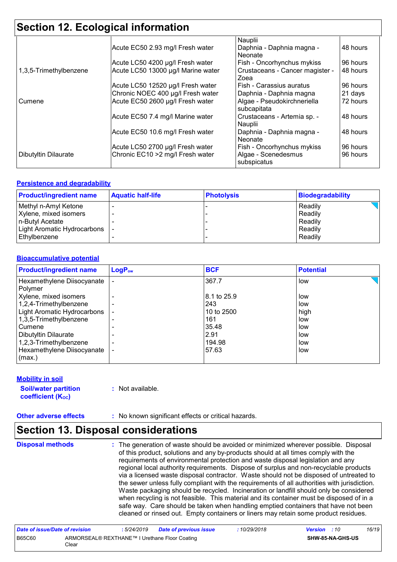## **Section 12. Ecological information**

|                        | Acute EC50 2.93 mg/l Fresh water   | Nauplii<br>Daphnia - Daphnia magna -        | 48 hours |
|------------------------|------------------------------------|---------------------------------------------|----------|
|                        |                                    | Neonate                                     |          |
|                        | Acute LC50 4200 µg/l Fresh water   | Fish - Oncorhynchus mykiss                  | 96 hours |
| 1,3,5-Trimethylbenzene | Acute LC50 13000 µg/l Marine water | Crustaceans - Cancer magister -<br>Zoea     | 48 hours |
|                        | Acute LC50 12520 µg/l Fresh water  | Fish - Carassius auratus                    | 96 hours |
|                        | Chronic NOEC 400 µg/l Fresh water  | Daphnia - Daphnia magna                     | 21 days  |
| Cumene                 | Acute EC50 2600 µg/l Fresh water   | Algae - Pseudokirchneriella<br>subcapitata  | 72 hours |
|                        | Acute EC50 7.4 mg/l Marine water   | Crustaceans - Artemia sp. -<br>Nauplii      | 48 hours |
|                        | Acute EC50 10.6 mg/l Fresh water   | Daphnia - Daphnia magna -<br><b>Neonate</b> | 48 hours |
|                        | Acute LC50 2700 µg/l Fresh water   | Fish - Oncorhynchus mykiss                  | 96 hours |
| Dibutyltin Dilaurate   | Chronic EC10 > 2 mg/l Fresh water  | Algae - Scenedesmus<br>subspicatus          | 96 hours |

#### **Persistence and degradability**

| <b>Product/ingredient name</b> | <b>Aquatic half-life</b> | <b>Photolysis</b> | Biodegradability |
|--------------------------------|--------------------------|-------------------|------------------|
| Methyl n-Amyl Ketone           |                          |                   | Readily          |
| Xylene, mixed isomers          |                          |                   | Readily          |
| n-Butyl Acetate                |                          |                   | Readily          |
| Light Aromatic Hydrocarbons    |                          |                   | Readily          |
| Ethylbenzene                   |                          |                   | Readily          |

#### **Bioaccumulative potential**

| <b>Product/ingredient name</b>                  | $LogP_{ow}$ | <b>BCF</b>  | <b>Potential</b> |  |
|-------------------------------------------------|-------------|-------------|------------------|--|
| Hexamethylene Diisocyanate                      |             | 367.7       | low              |  |
| Polymer                                         |             | 8.1 to 25.9 |                  |  |
| Xylene, mixed isomers<br>1,2,4-Trimethylbenzene |             | 243         | low<br>low       |  |
| Light Aromatic Hydrocarbons                     |             | 10 to 2500  | high             |  |
| 1,3,5-Trimethylbenzene                          |             | 161         | low              |  |
| Cumene                                          |             | 35.48       | low              |  |
| Dibutyltin Dilaurate                            |             | 2.91        | low              |  |
| 1,2,3-Trimethylbenzene                          |             | 194.98      | low              |  |
| Hexamethylene Diisocyanate<br>(max.)            |             | 57.63       | low              |  |

#### **Mobility in soil**

| <b>Soil/water partition</b> |  |
|-----------------------------|--|
| <b>coefficient (Koc)</b>    |  |

**:** Not available.

**Other adverse effects** : No known significant effects or critical hazards.

### **Section 13. Disposal considerations**

**Disposal methods :**

The generation of waste should be avoided or minimized wherever possible. Disposal of this product, solutions and any by-products should at all times comply with the requirements of environmental protection and waste disposal legislation and any regional local authority requirements. Dispose of surplus and non-recyclable products via a licensed waste disposal contractor. Waste should not be disposed of untreated to the sewer unless fully compliant with the requirements of all authorities with jurisdiction. Waste packaging should be recycled. Incineration or landfill should only be considered when recycling is not feasible. This material and its container must be disposed of in a safe way. Care should be taken when handling emptied containers that have not been cleaned or rinsed out. Empty containers or liners may retain some product residues.

| Date of issue/Date of revision |                                                        | : 5/24/2019 | Date of previous issue | 10/29/2018 | <b>Version</b> : 10 |                         | 16/19 |
|--------------------------------|--------------------------------------------------------|-------------|------------------------|------------|---------------------|-------------------------|-------|
| B65C60                         | ARMORSEAL® REXTHANE™ I Urethane Floor Coating<br>Clear |             |                        |            |                     | <b>SHW-85-NA-GHS-US</b> |       |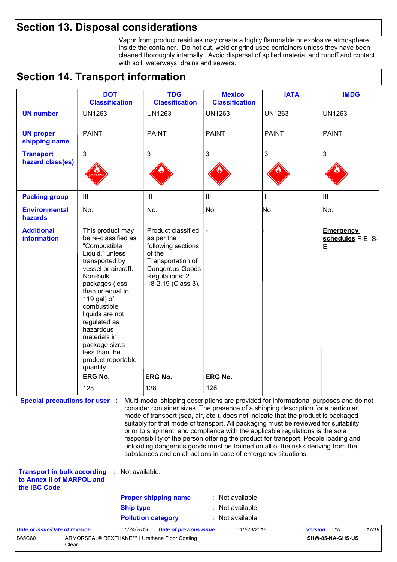### **Section 13. Disposal considerations**

Vapor from product residues may create a highly flammable or explosive atmosphere inside the container. Do not cut, weld or grind used containers unless they have been cleaned thoroughly internally. Avoid dispersal of spilled material and runoff and contact with soil, waterways, drains and sewers.

### **Section 14. Transport information**

| <b>DOT</b><br><b>TDG</b><br><b>Mexico</b><br><b>IATA</b><br><b>IMDG</b><br><b>Classification</b><br><b>Classification</b><br><b>Classification</b><br><b>UN1263</b><br><b>UN1263</b><br><b>UN1263</b><br><b>UN1263</b><br><b>UN1263</b><br><b>PAINT</b><br><b>PAINT</b><br><b>PAINT</b><br><b>PAINT</b><br><b>PAINT</b><br>3<br>3<br>3<br>$\mathfrak{Z}$<br>3<br>$\mathop{\rm III}\nolimits$<br>$\mathop{\rm III}$<br>$\mathbf{III}$<br>$\mathop{\rm III}$<br>$\begin{array}{c} \hline \end{array}$<br>No.<br>No.<br>No.<br>No.<br>No.<br>This product may<br>Product classified<br><b>Emergency</b><br>be re-classified as<br>as per the<br>schedules F-E, S-<br>"Combustible<br>following sections<br>E<br>of the<br>Liquid," unless<br>transported by<br>Transportation of<br>vessel or aircraft.<br>Dangerous Goods<br>Regulations: 2.<br>Non-bulk<br>18-2.19 (Class 3).<br>packages (less<br>than or equal to<br>119 gal) of<br>combustible<br>liquids are not<br>regulated as<br>hazardous<br>materials in<br>package sizes<br>less than the<br>product reportable<br>quantity.<br><b>ERG No.</b><br><b>ERG No.</b><br><b>ERG No.</b><br>128<br>128<br>128<br><b>Special precautions for user :</b><br>Multi-modal shipping descriptions are provided for informational purposes and do not<br>consider container sizes. The presence of a shipping description for a particular<br>mode of transport (sea, air, etc.), does not indicate that the product is packaged<br>suitably for that mode of transport. All packaging must be reviewed for suitability<br>prior to shipment, and compliance with the applicable regulations is the sole<br>responsibility of the person offering the product for transport. People loading and<br>unloading dangerous goods must be trained on all of the risks deriving from the<br>substances and on all actions in case of emergency situations.<br>Not available.<br><b>Transport in bulk according</b><br>to Annex II of MARPOL and<br>: Not available.<br><b>Proper shipping name</b><br><b>Ship type</b> |                                         |  |                |  |
|--------------------------------------------------------------------------------------------------------------------------------------------------------------------------------------------------------------------------------------------------------------------------------------------------------------------------------------------------------------------------------------------------------------------------------------------------------------------------------------------------------------------------------------------------------------------------------------------------------------------------------------------------------------------------------------------------------------------------------------------------------------------------------------------------------------------------------------------------------------------------------------------------------------------------------------------------------------------------------------------------------------------------------------------------------------------------------------------------------------------------------------------------------------------------------------------------------------------------------------------------------------------------------------------------------------------------------------------------------------------------------------------------------------------------------------------------------------------------------------------------------------------------------------------------------------------------------------------------------------------------------------------------------------------------------------------------------------------------------------------------------------------------------------------------------------------------------------------------------------------------------------------------------------------------------------------------------------------------------------------------------------------------------------------------------------|-----------------------------------------|--|----------------|--|
|                                                                                                                                                                                                                                                                                                                                                                                                                                                                                                                                                                                                                                                                                                                                                                                                                                                                                                                                                                                                                                                                                                                                                                                                                                                                                                                                                                                                                                                                                                                                                                                                                                                                                                                                                                                                                                                                                                                                                                                                                                                              |                                         |  |                |  |
|                                                                                                                                                                                                                                                                                                                                                                                                                                                                                                                                                                                                                                                                                                                                                                                                                                                                                                                                                                                                                                                                                                                                                                                                                                                                                                                                                                                                                                                                                                                                                                                                                                                                                                                                                                                                                                                                                                                                                                                                                                                              | <b>UN number</b>                        |  |                |  |
|                                                                                                                                                                                                                                                                                                                                                                                                                                                                                                                                                                                                                                                                                                                                                                                                                                                                                                                                                                                                                                                                                                                                                                                                                                                                                                                                                                                                                                                                                                                                                                                                                                                                                                                                                                                                                                                                                                                                                                                                                                                              | <b>UN proper</b><br>shipping name       |  |                |  |
|                                                                                                                                                                                                                                                                                                                                                                                                                                                                                                                                                                                                                                                                                                                                                                                                                                                                                                                                                                                                                                                                                                                                                                                                                                                                                                                                                                                                                                                                                                                                                                                                                                                                                                                                                                                                                                                                                                                                                                                                                                                              | <b>Transport</b><br>hazard class(es)    |  |                |  |
|                                                                                                                                                                                                                                                                                                                                                                                                                                                                                                                                                                                                                                                                                                                                                                                                                                                                                                                                                                                                                                                                                                                                                                                                                                                                                                                                                                                                                                                                                                                                                                                                                                                                                                                                                                                                                                                                                                                                                                                                                                                              | <b>Packing group</b>                    |  |                |  |
|                                                                                                                                                                                                                                                                                                                                                                                                                                                                                                                                                                                                                                                                                                                                                                                                                                                                                                                                                                                                                                                                                                                                                                                                                                                                                                                                                                                                                                                                                                                                                                                                                                                                                                                                                                                                                                                                                                                                                                                                                                                              | <b>Environmental</b><br>hazards         |  |                |  |
|                                                                                                                                                                                                                                                                                                                                                                                                                                                                                                                                                                                                                                                                                                                                                                                                                                                                                                                                                                                                                                                                                                                                                                                                                                                                                                                                                                                                                                                                                                                                                                                                                                                                                                                                                                                                                                                                                                                                                                                                                                                              | <b>Additional</b><br><b>information</b> |  |                |  |
|                                                                                                                                                                                                                                                                                                                                                                                                                                                                                                                                                                                                                                                                                                                                                                                                                                                                                                                                                                                                                                                                                                                                                                                                                                                                                                                                                                                                                                                                                                                                                                                                                                                                                                                                                                                                                                                                                                                                                                                                                                                              |                                         |  |                |  |
|                                                                                                                                                                                                                                                                                                                                                                                                                                                                                                                                                                                                                                                                                                                                                                                                                                                                                                                                                                                                                                                                                                                                                                                                                                                                                                                                                                                                                                                                                                                                                                                                                                                                                                                                                                                                                                                                                                                                                                                                                                                              | the <b>IBC</b> Code                     |  |                |  |
|                                                                                                                                                                                                                                                                                                                                                                                                                                                                                                                                                                                                                                                                                                                                                                                                                                                                                                                                                                                                                                                                                                                                                                                                                                                                                                                                                                                                                                                                                                                                                                                                                                                                                                                                                                                                                                                                                                                                                                                                                                                              |                                         |  | Not available. |  |

**Pollution category :** Not available.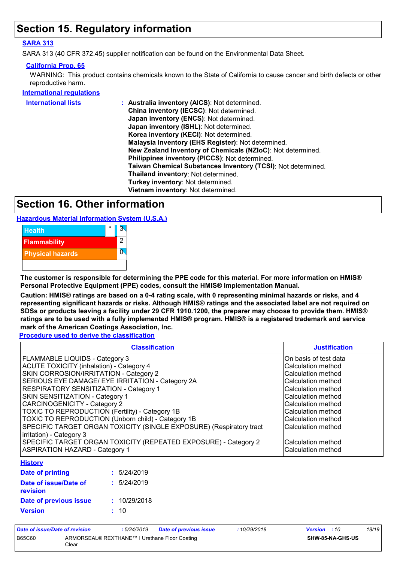## **Section 15. Regulatory information**

#### **SARA 313**

SARA 313 (40 CFR 372.45) supplier notification can be found on the Environmental Data Sheet.

### **California Prop. 65**

WARNING: This product contains chemicals known to the State of California to cause cancer and birth defects or other reproductive harm.

#### **International regulations**

| <b>International lists</b> | : Australia inventory (AICS): Not determined.                       |
|----------------------------|---------------------------------------------------------------------|
|                            | China inventory (IECSC): Not determined.                            |
|                            | Japan inventory (ENCS): Not determined.                             |
|                            | Japan inventory (ISHL): Not determined.                             |
|                            | Korea inventory (KECI): Not determined.                             |
|                            | Malaysia Inventory (EHS Register): Not determined.                  |
|                            | New Zealand Inventory of Chemicals (NZIoC): Not determined.         |
|                            | Philippines inventory (PICCS): Not determined.                      |
|                            | <b>Taiwan Chemical Substances Inventory (TCSI): Not determined.</b> |
|                            | Thailand inventory: Not determined.                                 |
|                            | Turkey inventory: Not determined.                                   |
|                            | Vietnam inventory: Not determined.                                  |

### **Section 16. Other information**

**Hazardous Material Information System (U.S.A.)**



**The customer is responsible for determining the PPE code for this material. For more information on HMIS® Personal Protective Equipment (PPE) codes, consult the HMIS® Implementation Manual.**

**Caution: HMIS® ratings are based on a 0-4 rating scale, with 0 representing minimal hazards or risks, and 4 representing significant hazards or risks. Although HMIS® ratings and the associated label are not required on SDSs or products leaving a facility under 29 CFR 1910.1200, the preparer may choose to provide them. HMIS® ratings are to be used with a fully implemented HMIS® program. HMIS® is a registered trademark and service mark of the American Coatings Association, Inc.**

**Procedure used to derive the classification**

| <b>Classification</b>                                               | <b>Justification</b>  |
|---------------------------------------------------------------------|-----------------------|
| FLAMMABLE LIQUIDS - Category 3                                      | On basis of test data |
| ACUTE TOXICITY (inhalation) - Category 4                            | Calculation method    |
| SKIN CORROSION/IRRITATION - Category 2                              | Calculation method    |
| SERIOUS EYE DAMAGE/ EYE IRRITATION - Category 2A                    | Calculation method    |
| <b>RESPIRATORY SENSITIZATION - Category 1</b>                       | Calculation method    |
| <b>SKIN SENSITIZATION - Category 1</b>                              | Calculation method    |
| <b>CARCINOGENICITY - Category 2</b>                                 | Calculation method    |
| TOXIC TO REPRODUCTION (Fertility) - Category 1B                     | Calculation method    |
| TOXIC TO REPRODUCTION (Unborn child) - Category 1B                  | Calculation method    |
| SPECIFIC TARGET ORGAN TOXICITY (SINGLE EXPOSURE) (Respiratory tract | Calculation method    |
| irritation) - Category 3                                            |                       |
| SPECIFIC TARGET ORGAN TOXICITY (REPEATED EXPOSURE) - Category 2     | Calculation method    |
| <b>ASPIRATION HAZARD - Category 1</b>                               | Calculation method    |

#### **History**

| <b>Date of printing</b>                  | : 5/24/2019  |
|------------------------------------------|--------------|
| Date of issue/Date of<br><b>revision</b> | : 5/24/2019  |
| Date of previous issue                   | : 10/29/2018 |
| <b>Version</b>                           | : 10         |

| Date of issue/Date of revision |                                                        | : 5/24/2019 | <b>Date of previous issue</b> | : 10/29/2018 | <b>Version</b> : 10     | 18/19 |
|--------------------------------|--------------------------------------------------------|-------------|-------------------------------|--------------|-------------------------|-------|
| B65C60                         | ARMORSEAL® REXTHANE™ I Urethane Floor Coating<br>Clear |             |                               |              | <b>SHW-85-NA-GHS-US</b> |       |